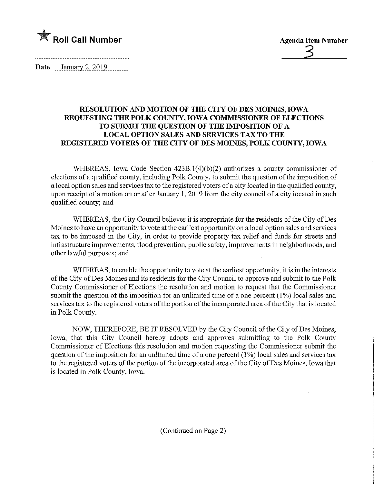

Date <u>January 2, 2019</u>.

## RESOLUTION AND MOTION OF THE CITY OF DES MOINES, IOWA REQUESTING THE POLK COUNTY, IOWA COMMISSIONER OF ELECTIONS TO SUBMIT THE QUESTION OF THE IMPOSITION OF A LOCAL OPTION SALES AND SERVICES TAX TO THE REGISTERED VOTERS OF THE CITY OF DES MOINES, POLK COUNTY, IOWA

WHEREAS, Iowa Code Section 423B.l(4)(b)(2) authorizes a county commissioner of elections of a qualified county, including Polk County, to submit the question of the imposition of a local option sales and services tax to the registered voters of a city located in the qualified county, upon receipt of a motion on or after January 1, 2019 from the city council of a city located in such qualified county; and

WHEREAS, the City Council believes it is appropriate for the residents of the City of Des Moines to have an opportunity to vote at the earliest opportunity on a local option sales and services tax to be imposed in the City, in order to provide property tax relief and funds for streets and infrastructure improvements, flood prevention, public safety, improvements in neighborhoods, and other lawful purposes; and

WHEREAS, to enable the opportunity to vote at the earliest opportunity, it is in the interests of the City of Des Moines and its residents for the City Council to approve and submit to the Polk County Commissioner of Elections the resolution and motion to request that the Commissioner submit the question of the imposition for an unlimited time of a one percent (1%) local sales and services tax to the registered voters of the portion of the incorporated area of the City that is located in Polk County.

NOW, THEREFORE, BE IT RESOLVED by the City Council of the City of Des Moines, Iowa, that this City Council hereby adopts and approves submitting to the Polk County Commissioner of Elections this resolution and motion requesting the Commissioner submit the question of the imposition for an unlimited time of a one percent (1%) local sales and services tax to the registered voters of the portion of the incorporated area of the City of Des Moines, Iowa that is located in Polk County, Iowa.